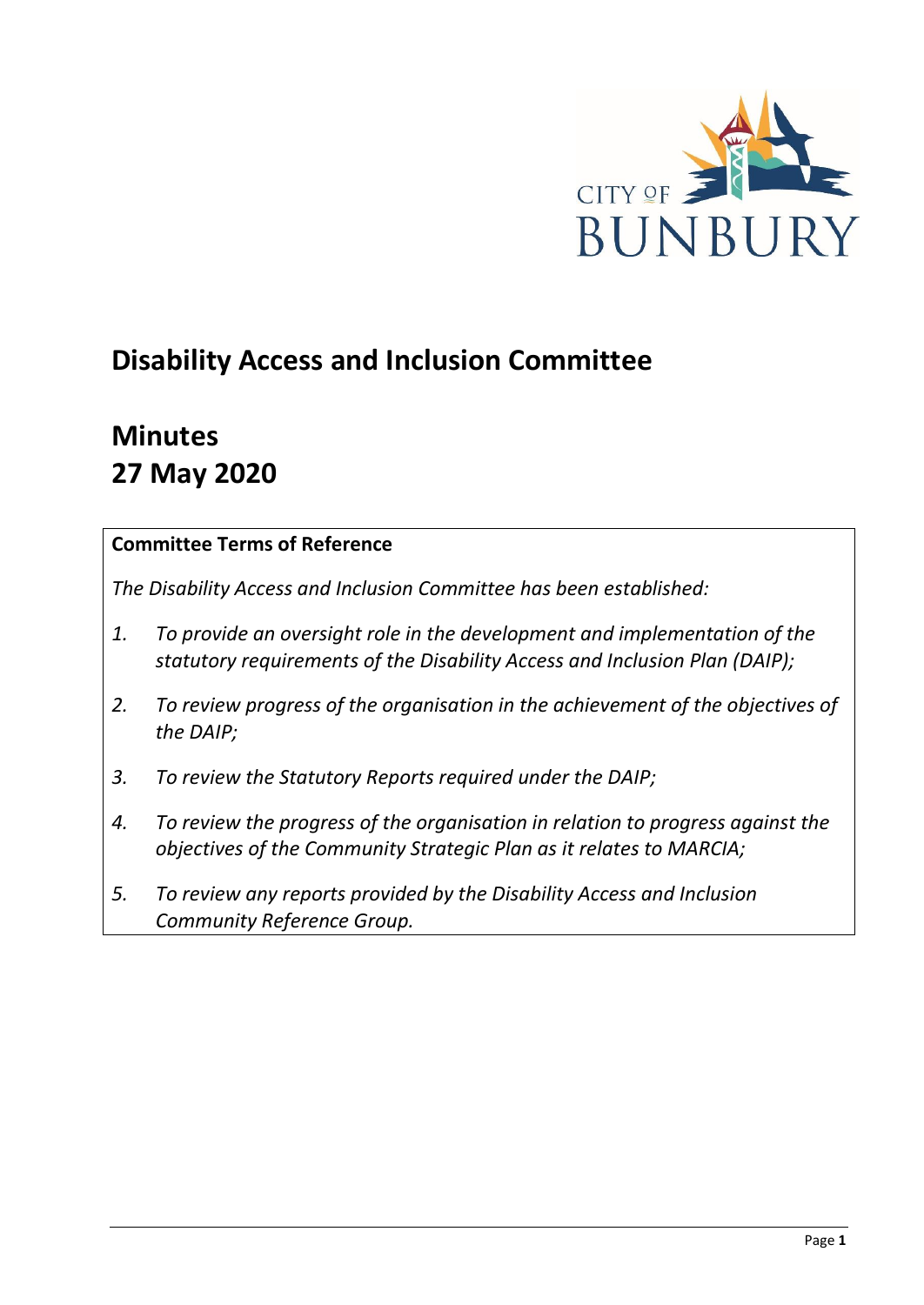

# **Disability Access and Inclusion Committee**

# **Minutes 27 May 2020**

## **Committee Terms of Reference**

*The Disability Access and Inclusion Committee has been established:* 

- *1. To provide an oversight role in the development and implementation of the statutory requirements of the Disability Access and Inclusion Plan (DAIP);*
- *2. To review progress of the organisation in the achievement of the objectives of the DAIP;*
- *3. To review the Statutory Reports required under the DAIP;*
- *4. To review the progress of the organisation in relation to progress against the objectives of the Community Strategic Plan as it relates to MARCIA;*
- *5. To review any reports provided by the Disability Access and Inclusion Community Reference Group.*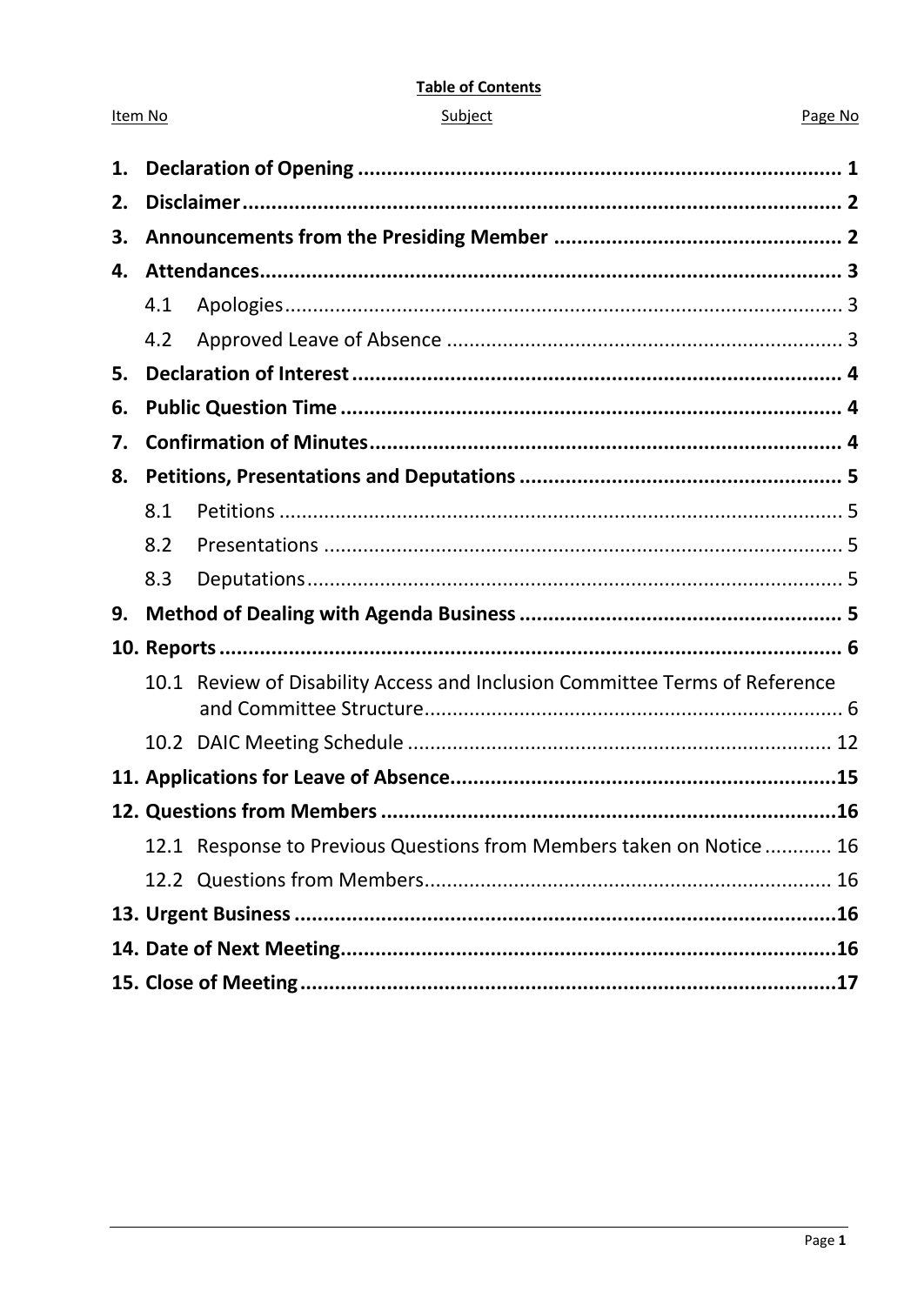#### **Table of Contents**

| ubie |  |
|------|--|
|      |  |
|      |  |

Item No

#### Page No

| 1. |     |                                                                             |  |
|----|-----|-----------------------------------------------------------------------------|--|
| 2. |     |                                                                             |  |
| 3. |     |                                                                             |  |
| 4. |     |                                                                             |  |
|    | 4.1 |                                                                             |  |
|    | 4.2 |                                                                             |  |
| 5. |     |                                                                             |  |
| 6. |     |                                                                             |  |
| 7. |     |                                                                             |  |
| 8. |     |                                                                             |  |
|    | 8.1 |                                                                             |  |
|    | 8.2 |                                                                             |  |
|    | 8.3 |                                                                             |  |
| 9. |     |                                                                             |  |
|    |     |                                                                             |  |
|    |     | 10.1 Review of Disability Access and Inclusion Committee Terms of Reference |  |
|    |     |                                                                             |  |
|    |     |                                                                             |  |
|    |     |                                                                             |  |
|    |     | 12.1 Response to Previous Questions from Members taken on Notice 16         |  |
|    |     |                                                                             |  |
|    |     |                                                                             |  |
|    |     |                                                                             |  |
|    |     |                                                                             |  |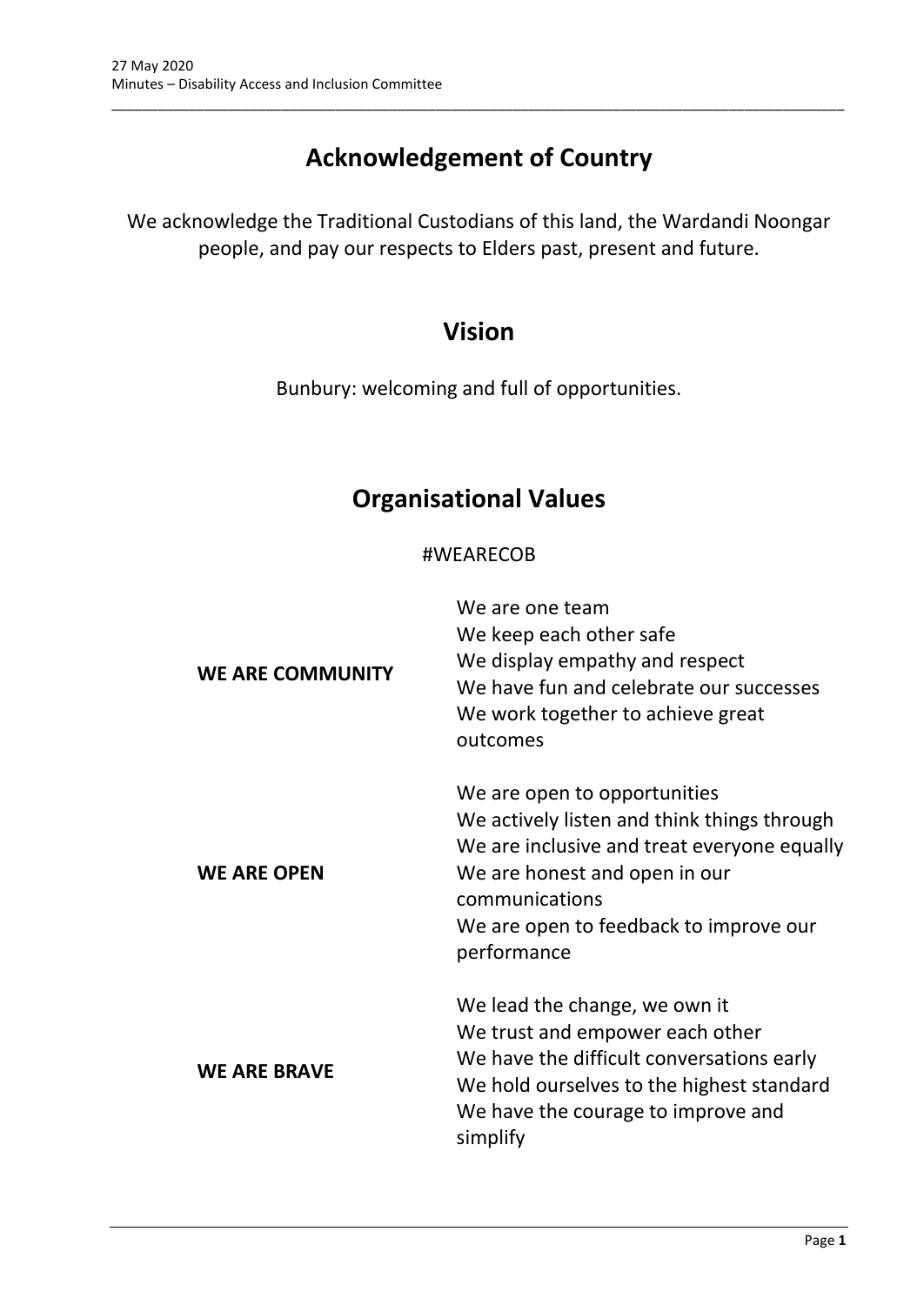# **Acknowledgement of Country**

\_\_\_\_\_\_\_\_\_\_\_\_\_\_\_\_\_\_\_\_\_\_\_\_\_\_\_\_\_\_\_\_\_\_\_\_\_\_\_\_\_\_\_\_\_\_\_\_\_\_\_\_\_\_\_\_\_\_\_\_\_\_\_\_\_\_\_\_\_\_\_\_\_\_\_\_\_\_\_\_\_\_\_\_\_\_\_\_\_\_\_\_\_\_\_

We acknowledge the Traditional Custodians of this land, the Wardandi Noongar people, and pay our respects to Elders past, present and future.

# **Vision**

Bunbury: welcoming and full of opportunities.

# **Organisational Values**

#### #WEARECOB

| <b>WE ARE COMMUNITY</b> | We are one team<br>We keep each other safe<br>We display empathy and respect<br>We have fun and celebrate our successes<br>We work together to achieve great<br>outcomes                                                               |
|-------------------------|----------------------------------------------------------------------------------------------------------------------------------------------------------------------------------------------------------------------------------------|
| <b>WE ARE OPEN</b>      | We are open to opportunities<br>We actively listen and think things through<br>We are inclusive and treat everyone equally<br>We are honest and open in our<br>communications<br>We are open to feedback to improve our<br>performance |
| <b>WE ARE BRAVE</b>     | We lead the change, we own it<br>We trust and empower each other<br>We have the difficult conversations early<br>We hold ourselves to the highest standard<br>We have the courage to improve and<br>simplify                           |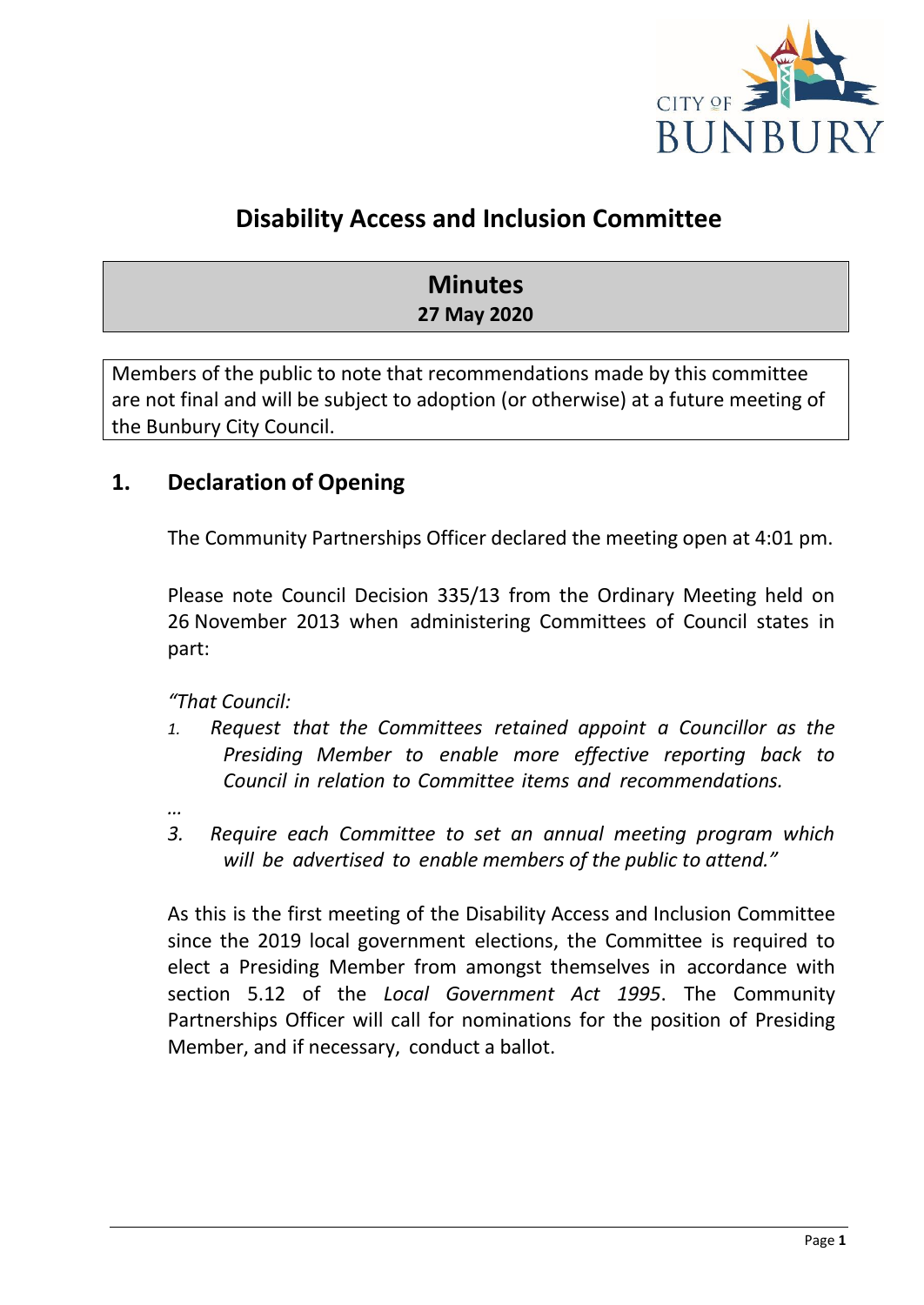

# **Disability Access and Inclusion Committee**

# **Minutes 27 May 2020**

Members of the public to note that recommendations made by this committee are not final and will be subject to adoption (or otherwise) at a future meeting of the Bunbury City Council.

# <span id="page-3-0"></span>**1. Declaration of Opening**

The Community Partnerships Officer declared the meeting open at 4:01 pm.

Please note Council Decision 335/13 from the Ordinary Meeting held on 26 November 2013 when administering Committees of Council states in part:

*"That Council:*

- *1. Request that the Committees retained appoint a Councillor as the Presiding Member to enable more effective reporting back to Council in relation to Committee items and recommendations.*
- *…*
- *3. Require each Committee to set an annual meeting program which will be advertised to enable members of the public to attend."*

As this is the first meeting of the Disability Access and Inclusion Committee since the 2019 local government elections, the Committee is required to elect a Presiding Member from amongst themselves in accordance with section 5.12 of the *Local Government Act 1995*. The Community Partnerships Officer will call for nominations for the position of Presiding Member, and if necessary, conduct a ballot.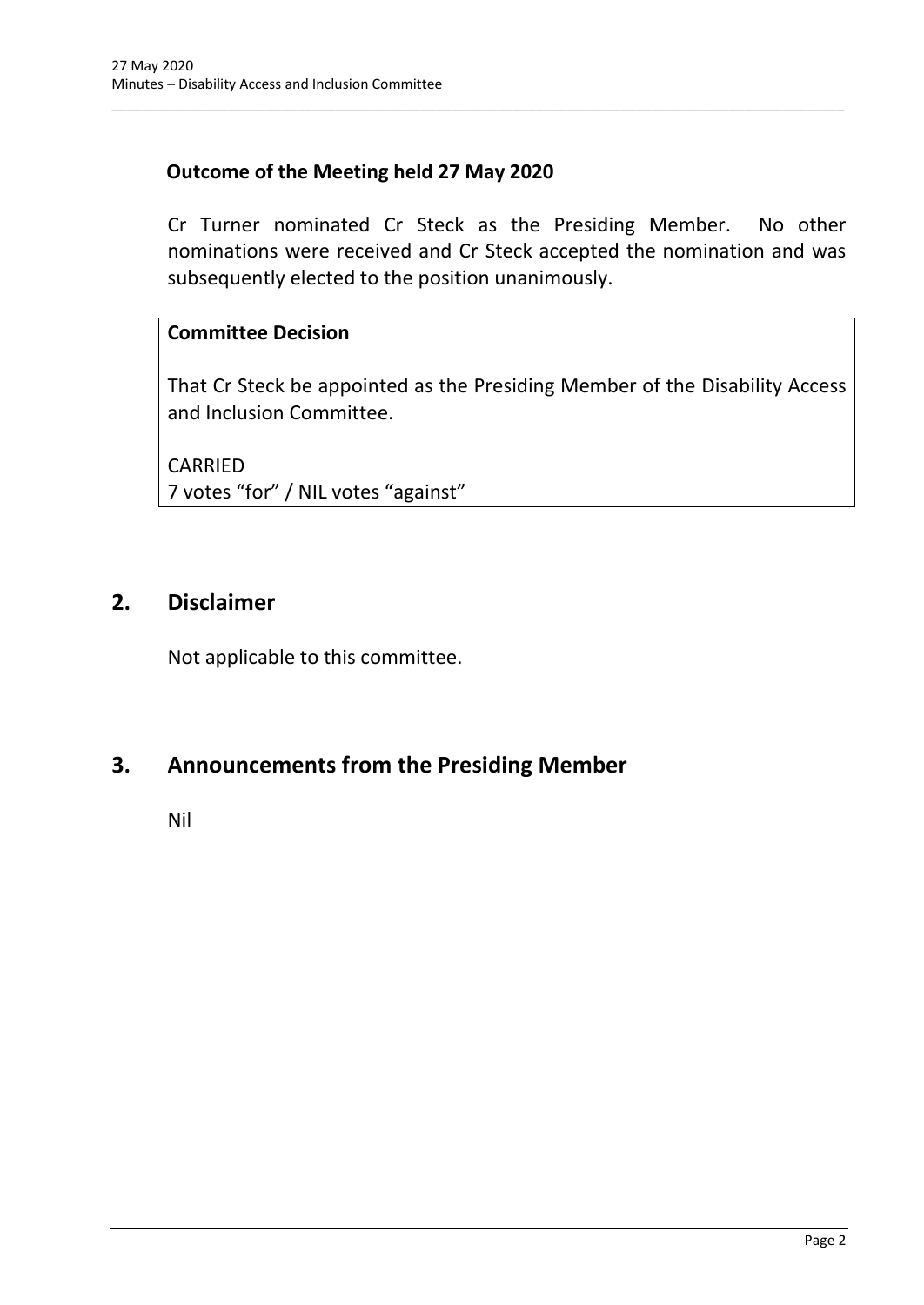## **Outcome of the Meeting held 27 May 2020**

Cr Turner nominated Cr Steck as the Presiding Member. No other nominations were received and Cr Steck accepted the nomination and was subsequently elected to the position unanimously.

\_\_\_\_\_\_\_\_\_\_\_\_\_\_\_\_\_\_\_\_\_\_\_\_\_\_\_\_\_\_\_\_\_\_\_\_\_\_\_\_\_\_\_\_\_\_\_\_\_\_\_\_\_\_\_\_\_\_\_\_\_\_\_\_\_\_\_\_\_\_\_\_\_\_\_\_\_\_\_\_\_\_\_\_\_\_\_\_\_\_\_\_\_\_\_

### **Committee Decision**

That Cr Steck be appointed as the Presiding Member of the Disability Access and Inclusion Committee.

CARRIED 7 votes "for" / NIL votes "against"

## <span id="page-4-0"></span>**2. Disclaimer**

Not applicable to this committee.

# <span id="page-4-1"></span>**3. Announcements from the Presiding Member**

Nil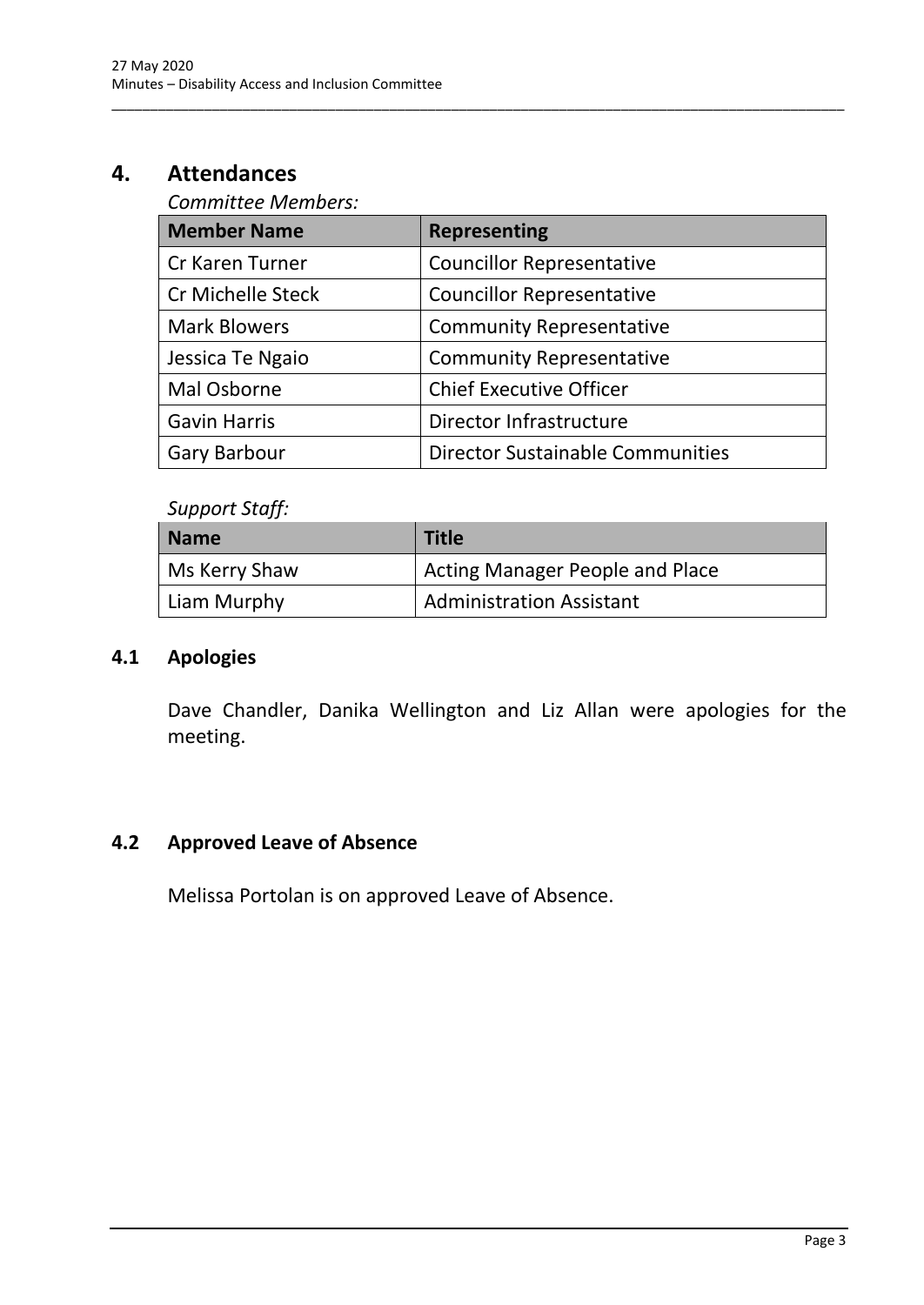# <span id="page-5-1"></span><span id="page-5-0"></span>**4. Attendances**

## *Committee Members:*

| <b>Member Name</b>       | <b>Representing</b>                     |
|--------------------------|-----------------------------------------|
| Cr Karen Turner          | <b>Councillor Representative</b>        |
| <b>Cr Michelle Steck</b> | <b>Councillor Representative</b>        |
| <b>Mark Blowers</b>      | <b>Community Representative</b>         |
| Jessica Te Ngaio         | <b>Community Representative</b>         |
| Mal Osborne              | <b>Chief Executive Officer</b>          |
| <b>Gavin Harris</b>      | Director Infrastructure                 |
| <b>Gary Barbour</b>      | <b>Director Sustainable Communities</b> |

\_\_\_\_\_\_\_\_\_\_\_\_\_\_\_\_\_\_\_\_\_\_\_\_\_\_\_\_\_\_\_\_\_\_\_\_\_\_\_\_\_\_\_\_\_\_\_\_\_\_\_\_\_\_\_\_\_\_\_\_\_\_\_\_\_\_\_\_\_\_\_\_\_\_\_\_\_\_\_\_\_\_\_\_\_\_\_\_\_\_\_\_\_\_\_

## *Support Staff:*

| Name          | <b>Title</b>                           |
|---------------|----------------------------------------|
| Ms Kerry Shaw | <b>Acting Manager People and Place</b> |
| Liam Murphy   | <b>Administration Assistant</b>        |

#### **4.1 Apologies**

Dave Chandler, Danika Wellington and Liz Allan were apologies for the meeting.

### <span id="page-5-2"></span>**4.2 Approved Leave of Absence**

Melissa Portolan is on approved Leave of Absence.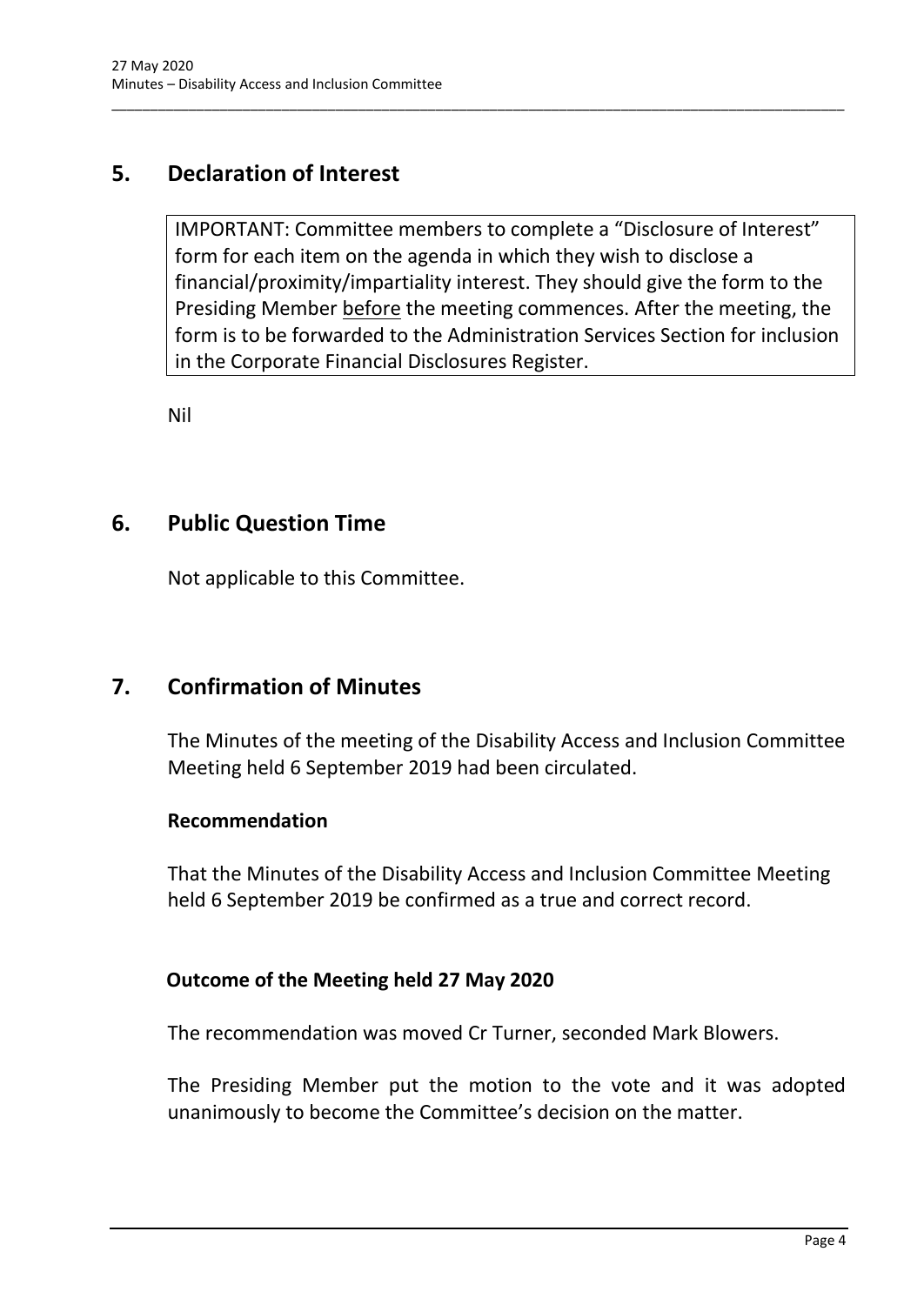# <span id="page-6-0"></span>**5. Declaration of Interest**

IMPORTANT: Committee members to complete a "Disclosure of Interest" form for each item on the agenda in which they wish to disclose a financial/proximity/impartiality interest. They should give the form to the Presiding Member before the meeting commences. After the meeting, the form is to be forwarded to the Administration Services Section for inclusion in the Corporate Financial Disclosures Register.

\_\_\_\_\_\_\_\_\_\_\_\_\_\_\_\_\_\_\_\_\_\_\_\_\_\_\_\_\_\_\_\_\_\_\_\_\_\_\_\_\_\_\_\_\_\_\_\_\_\_\_\_\_\_\_\_\_\_\_\_\_\_\_\_\_\_\_\_\_\_\_\_\_\_\_\_\_\_\_\_\_\_\_\_\_\_\_\_\_\_\_\_\_\_\_

Nil

## <span id="page-6-1"></span>**6. Public Question Time**

Not applicable to this Committee.

# <span id="page-6-2"></span>**7. Confirmation of Minutes**

The Minutes of the meeting of the Disability Access and Inclusion Committee Meeting held 6 September 2019 had been circulated.

#### **Recommendation**

That the Minutes of the Disability Access and Inclusion Committee Meeting held 6 September 2019 be confirmed as a true and correct record.

#### **Outcome of the Meeting held 27 May 2020**

The recommendation was moved Cr Turner, seconded Mark Blowers.

The Presiding Member put the motion to the vote and it was adopted unanimously to become the Committee's decision on the matter.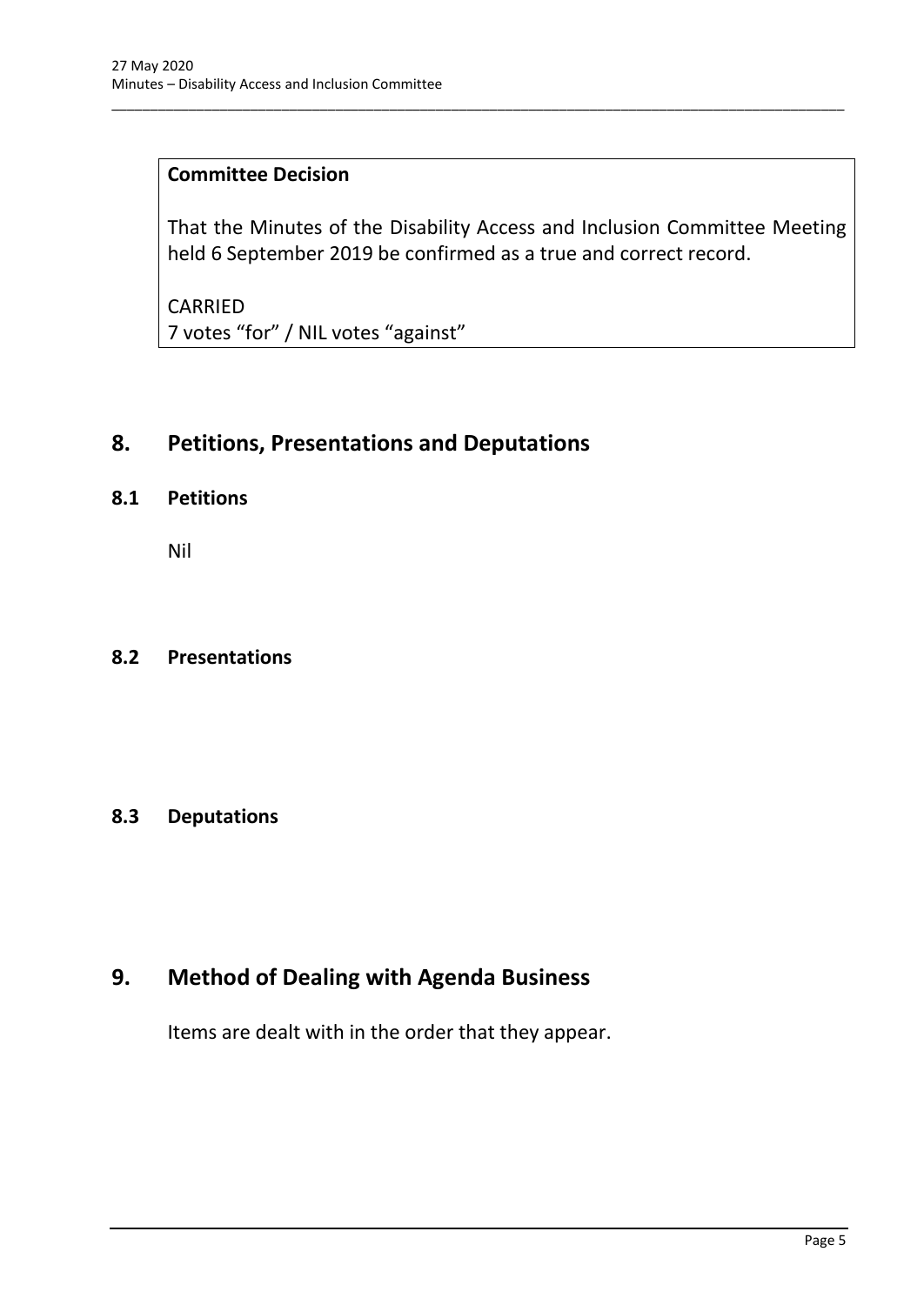### **Committee Decision**

That the Minutes of the Disability Access and Inclusion Committee Meeting held 6 September 2019 be confirmed as a true and correct record.

\_\_\_\_\_\_\_\_\_\_\_\_\_\_\_\_\_\_\_\_\_\_\_\_\_\_\_\_\_\_\_\_\_\_\_\_\_\_\_\_\_\_\_\_\_\_\_\_\_\_\_\_\_\_\_\_\_\_\_\_\_\_\_\_\_\_\_\_\_\_\_\_\_\_\_\_\_\_\_\_\_\_\_\_\_\_\_\_\_\_\_\_\_\_\_

CARRIED 7 votes "for" / NIL votes "against"

# <span id="page-7-0"></span>**8. Petitions, Presentations and Deputations**

#### <span id="page-7-1"></span>**8.1 Petitions**

Nil

#### <span id="page-7-2"></span>**8.2 Presentations**

#### <span id="page-7-3"></span>**8.3 Deputations**

# <span id="page-7-4"></span>**9. Method of Dealing with Agenda Business**

Items are dealt with in the order that they appear.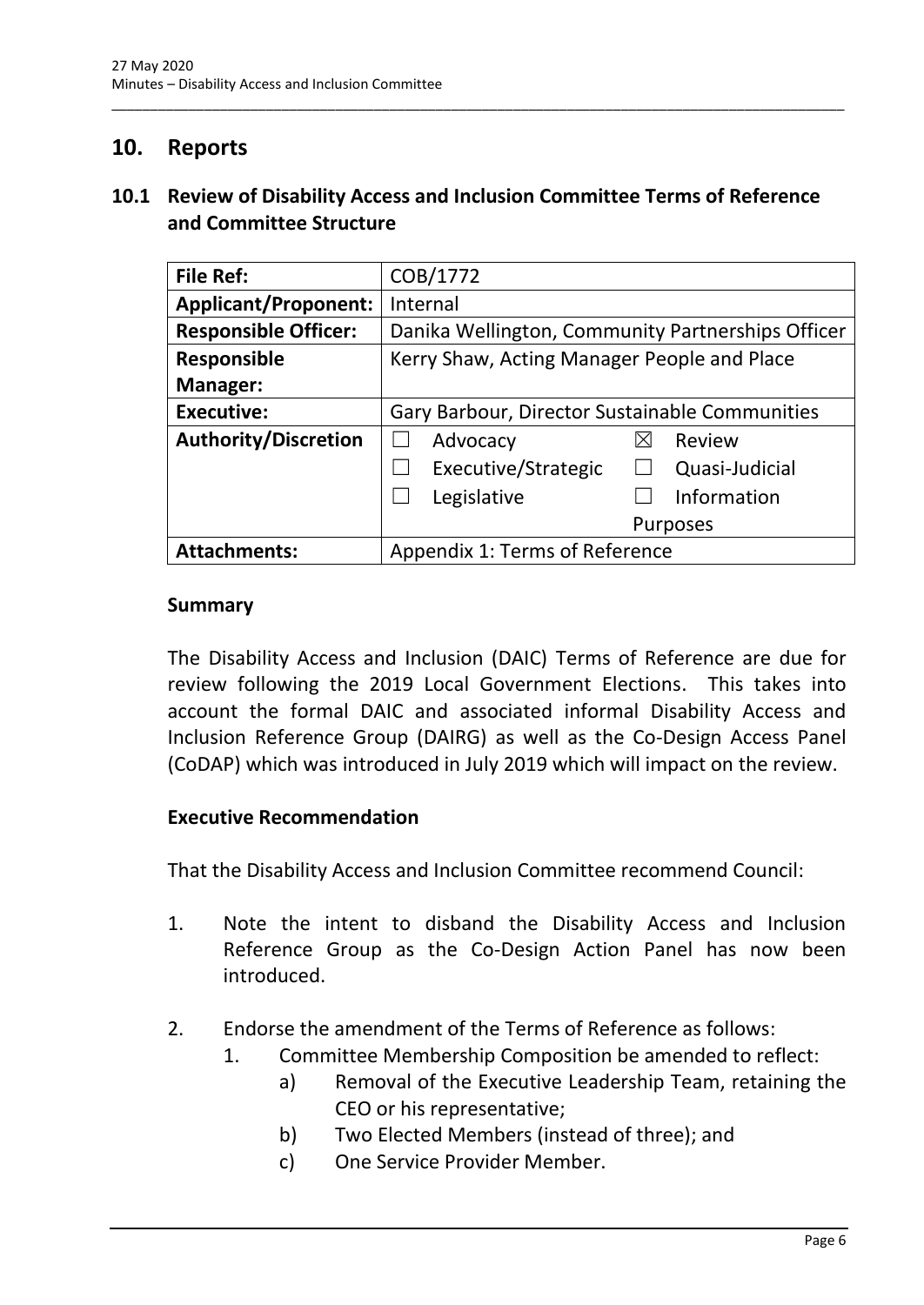## <span id="page-8-0"></span>**10. Reports**

### <span id="page-8-1"></span>**10.1 Review of Disability Access and Inclusion Committee Terms of Reference and Committee Structure**

\_\_\_\_\_\_\_\_\_\_\_\_\_\_\_\_\_\_\_\_\_\_\_\_\_\_\_\_\_\_\_\_\_\_\_\_\_\_\_\_\_\_\_\_\_\_\_\_\_\_\_\_\_\_\_\_\_\_\_\_\_\_\_\_\_\_\_\_\_\_\_\_\_\_\_\_\_\_\_\_\_\_\_\_\_\_\_\_\_\_\_\_\_\_\_

| <b>File Ref:</b>            | COB/1772                                          |  |
|-----------------------------|---------------------------------------------------|--|
| <b>Applicant/Proponent:</b> | Internal                                          |  |
| <b>Responsible Officer:</b> | Danika Wellington, Community Partnerships Officer |  |
| <b>Responsible</b>          | Kerry Shaw, Acting Manager People and Place       |  |
| Manager:                    |                                                   |  |
| <b>Executive:</b>           | Gary Barbour, Director Sustainable Communities    |  |
| <b>Authority/Discretion</b> | Advocacy<br>⊠<br>Review                           |  |
|                             | Executive/Strategic<br>Quasi-Judicial             |  |
|                             | Information<br>Legislative                        |  |
|                             | Purposes                                          |  |
| <b>Attachments:</b>         | Appendix 1: Terms of Reference                    |  |

#### **Summary**

The Disability Access and Inclusion (DAIC) Terms of Reference are due for review following the 2019 Local Government Elections. This takes into account the formal DAIC and associated informal Disability Access and Inclusion Reference Group (DAIRG) as well as the Co-Design Access Panel (CoDAP) which was introduced in July 2019 which will impact on the review.

#### **Executive Recommendation**

That the Disability Access and Inclusion Committee recommend Council:

- 1. Note the intent to disband the Disability Access and Inclusion Reference Group as the Co-Design Action Panel has now been introduced.
- 2. Endorse the amendment of the Terms of Reference as follows:
	- 1. Committee Membership Composition be amended to reflect:
		- a) Removal of the Executive Leadership Team, retaining the CEO or his representative;
		- b) Two Elected Members (instead of three); and
		- c) One Service Provider Member.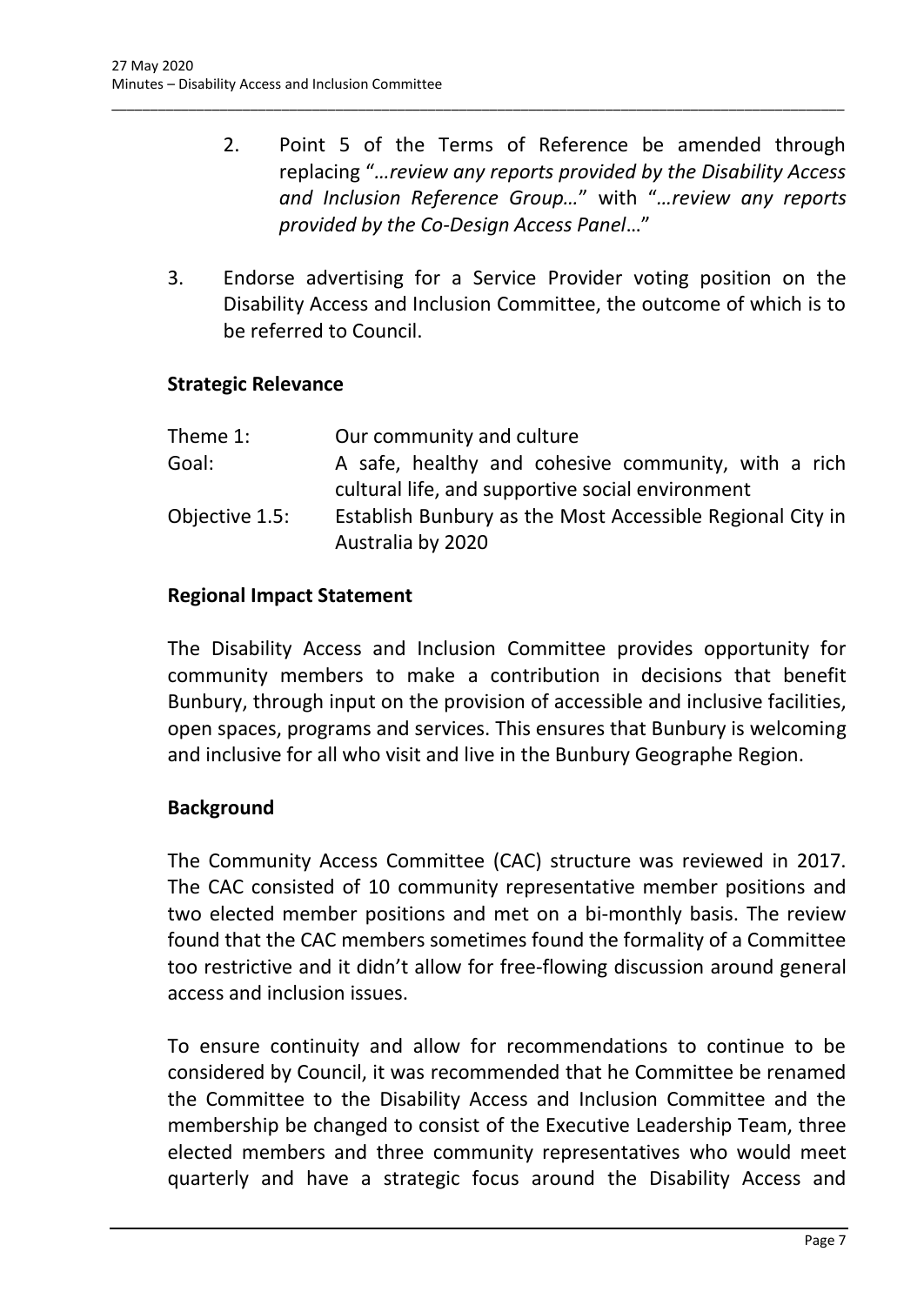- 2. Point 5 of the Terms of Reference be amended through replacing "*…review any reports provided by the Disability Access and Inclusion Reference Group…*" with "*…review any reports provided by the Co-Design Access Panel*…"
- 3. Endorse advertising for a Service Provider voting position on the Disability Access and Inclusion Committee, the outcome of which is to be referred to Council.

\_\_\_\_\_\_\_\_\_\_\_\_\_\_\_\_\_\_\_\_\_\_\_\_\_\_\_\_\_\_\_\_\_\_\_\_\_\_\_\_\_\_\_\_\_\_\_\_\_\_\_\_\_\_\_\_\_\_\_\_\_\_\_\_\_\_\_\_\_\_\_\_\_\_\_\_\_\_\_\_\_\_\_\_\_\_\_\_\_\_\_\_\_\_\_

#### **Strategic Relevance**

| Theme 1:       | Our community and culture                                 |
|----------------|-----------------------------------------------------------|
| Goal:          | A safe, healthy and cohesive community, with a rich       |
|                | cultural life, and supportive social environment          |
| Objective 1.5: | Establish Bunbury as the Most Accessible Regional City in |
|                | Australia by 2020                                         |

#### **Regional Impact Statement**

The Disability Access and Inclusion Committee provides opportunity for community members to make a contribution in decisions that benefit Bunbury, through input on the provision of accessible and inclusive facilities, open spaces, programs and services. This ensures that Bunbury is welcoming and inclusive for all who visit and live in the Bunbury Geographe Region.

#### **Background**

The Community Access Committee (CAC) structure was reviewed in 2017. The CAC consisted of 10 community representative member positions and two elected member positions and met on a bi-monthly basis. The review found that the CAC members sometimes found the formality of a Committee too restrictive and it didn't allow for free-flowing discussion around general access and inclusion issues.

To ensure continuity and allow for recommendations to continue to be considered by Council, it was recommended that he Committee be renamed the Committee to the Disability Access and Inclusion Committee and the membership be changed to consist of the Executive Leadership Team, three elected members and three community representatives who would meet quarterly and have a strategic focus around the Disability Access and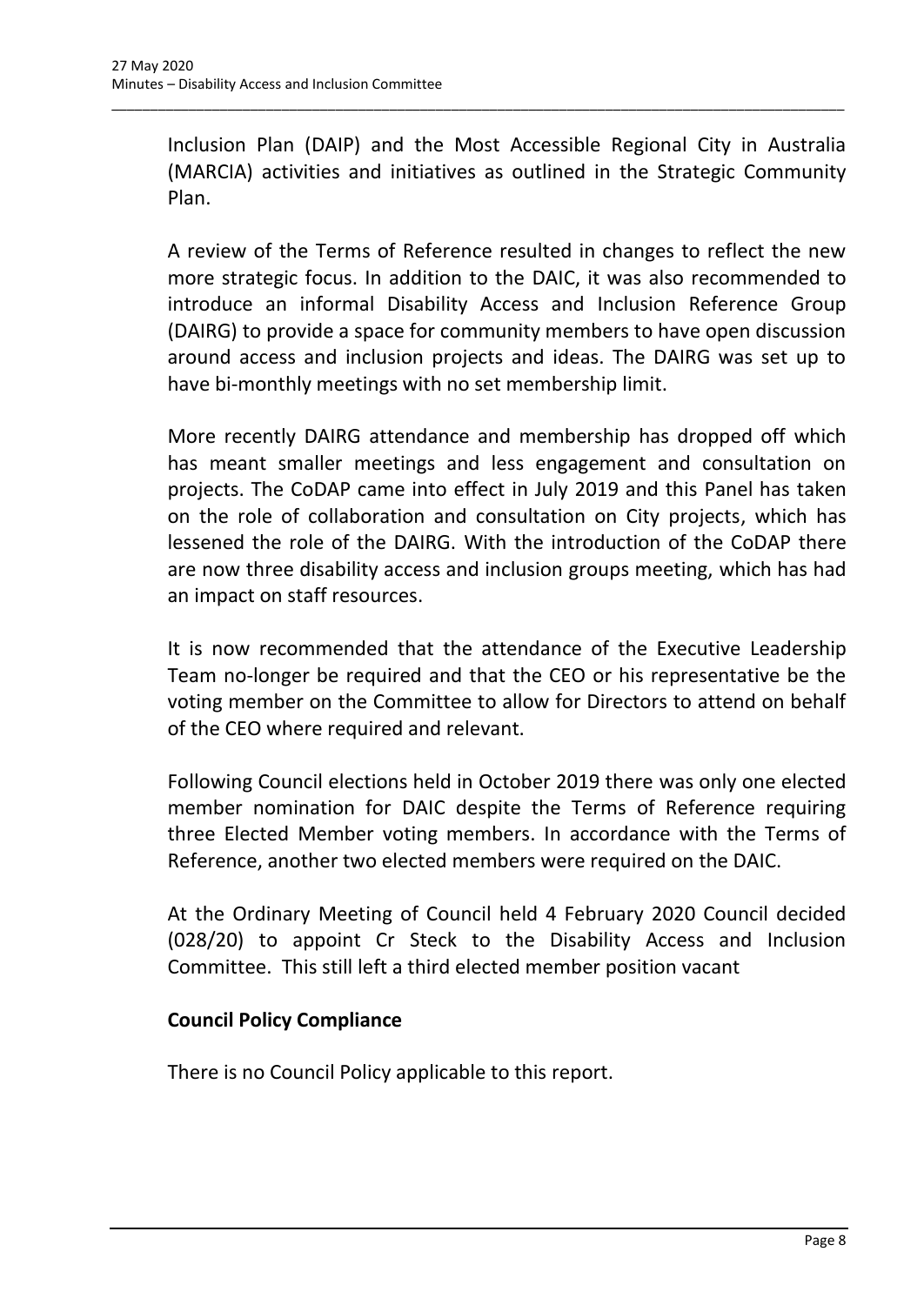Inclusion Plan (DAIP) and the Most Accessible Regional City in Australia (MARCIA) activities and initiatives as outlined in the Strategic Community Plan.

\_\_\_\_\_\_\_\_\_\_\_\_\_\_\_\_\_\_\_\_\_\_\_\_\_\_\_\_\_\_\_\_\_\_\_\_\_\_\_\_\_\_\_\_\_\_\_\_\_\_\_\_\_\_\_\_\_\_\_\_\_\_\_\_\_\_\_\_\_\_\_\_\_\_\_\_\_\_\_\_\_\_\_\_\_\_\_\_\_\_\_\_\_\_\_

A review of the Terms of Reference resulted in changes to reflect the new more strategic focus. In addition to the DAIC, it was also recommended to introduce an informal Disability Access and Inclusion Reference Group (DAIRG) to provide a space for community members to have open discussion around access and inclusion projects and ideas. The DAIRG was set up to have bi-monthly meetings with no set membership limit.

More recently DAIRG attendance and membership has dropped off which has meant smaller meetings and less engagement and consultation on projects. The CoDAP came into effect in July 2019 and this Panel has taken on the role of collaboration and consultation on City projects, which has lessened the role of the DAIRG. With the introduction of the CoDAP there are now three disability access and inclusion groups meeting, which has had an impact on staff resources.

It is now recommended that the attendance of the Executive Leadership Team no-longer be required and that the CEO or his representative be the voting member on the Committee to allow for Directors to attend on behalf of the CEO where required and relevant.

Following Council elections held in October 2019 there was only one elected member nomination for DAIC despite the Terms of Reference requiring three Elected Member voting members. In accordance with the Terms of Reference, another two elected members were required on the DAIC.

At the Ordinary Meeting of Council held 4 February 2020 Council decided (028/20) to appoint Cr Steck to the Disability Access and Inclusion Committee. This still left a third elected member position vacant

#### **Council Policy Compliance**

There is no Council Policy applicable to this report.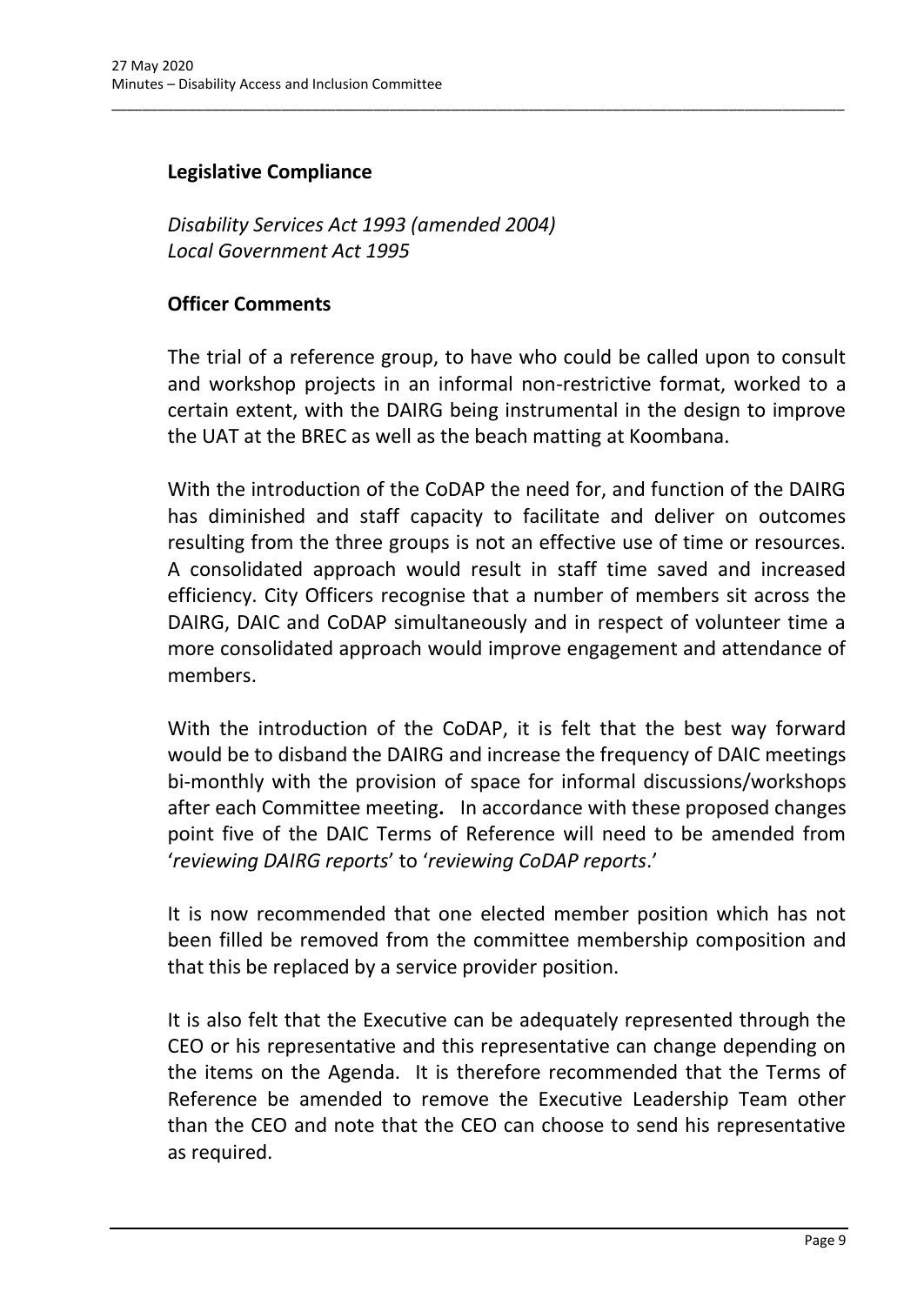### **Legislative Compliance**

*Disability Services Act 1993 (amended 2004) Local Government Act 1995*

#### **Officer Comments**

The trial of a reference group, to have who could be called upon to consult and workshop projects in an informal non-restrictive format, worked to a certain extent, with the DAIRG being instrumental in the design to improve the UAT at the BREC as well as the beach matting at Koombana.

\_\_\_\_\_\_\_\_\_\_\_\_\_\_\_\_\_\_\_\_\_\_\_\_\_\_\_\_\_\_\_\_\_\_\_\_\_\_\_\_\_\_\_\_\_\_\_\_\_\_\_\_\_\_\_\_\_\_\_\_\_\_\_\_\_\_\_\_\_\_\_\_\_\_\_\_\_\_\_\_\_\_\_\_\_\_\_\_\_\_\_\_\_\_\_

With the introduction of the CoDAP the need for, and function of the DAIRG has diminished and staff capacity to facilitate and deliver on outcomes resulting from the three groups is not an effective use of time or resources. A consolidated approach would result in staff time saved and increased efficiency. City Officers recognise that a number of members sit across the DAIRG, DAIC and CoDAP simultaneously and in respect of volunteer time a more consolidated approach would improve engagement and attendance of members.

With the introduction of the CoDAP, it is felt that the best way forward would be to disband the DAIRG and increase the frequency of DAIC meetings bi-monthly with the provision of space for informal discussions/workshops after each Committee meeting**.** In accordance with these proposed changes point five of the DAIC Terms of Reference will need to be amended from '*reviewing DAIRG reports*' to '*reviewing CoDAP reports*.'

It is now recommended that one elected member position which has not been filled be removed from the committee membership composition and that this be replaced by a service provider position.

It is also felt that the Executive can be adequately represented through the CEO or his representative and this representative can change depending on the items on the Agenda. It is therefore recommended that the Terms of Reference be amended to remove the Executive Leadership Team other than the CEO and note that the CEO can choose to send his representative as required.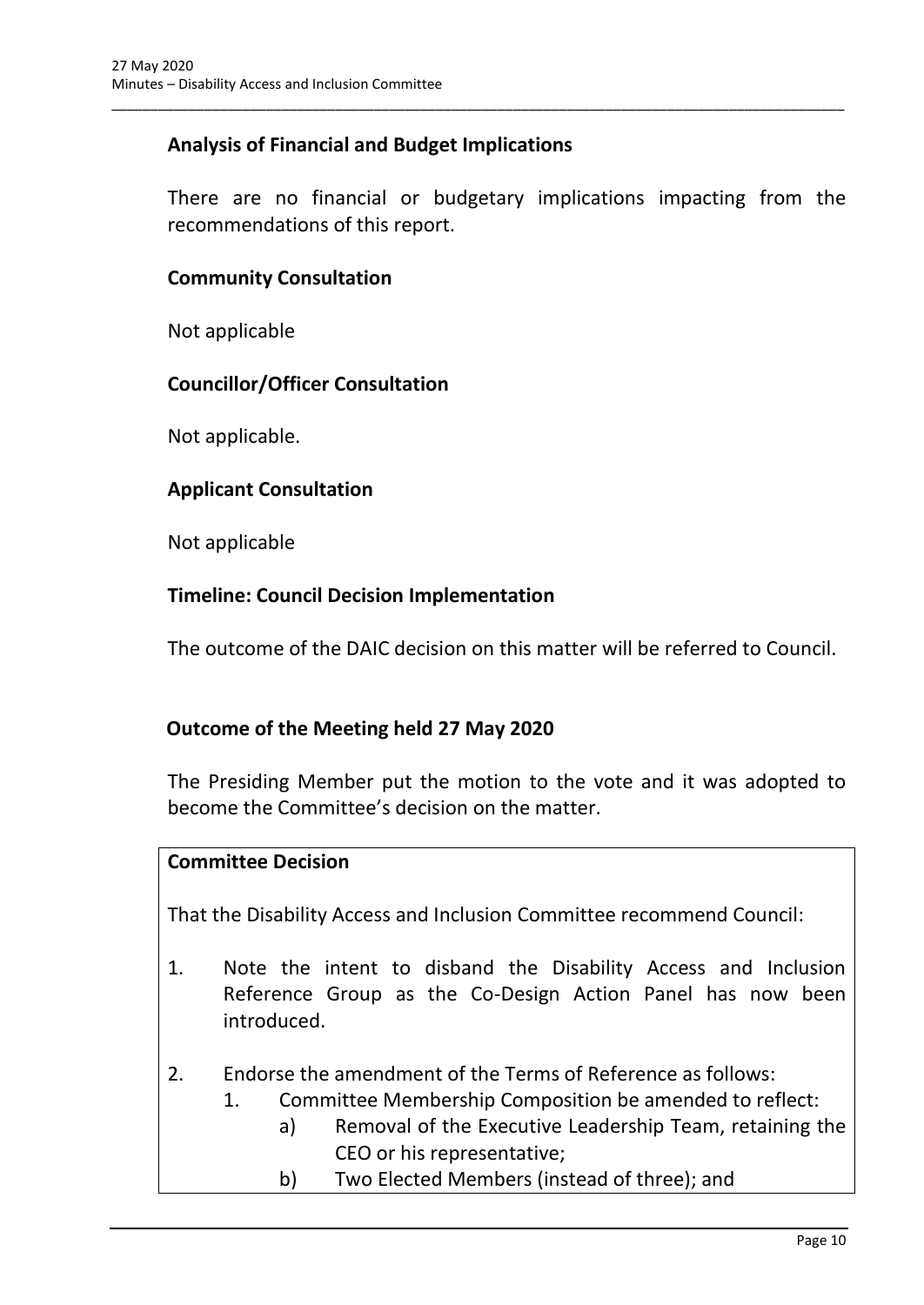## **Analysis of Financial and Budget Implications**

There are no financial or budgetary implications impacting from the recommendations of this report.

\_\_\_\_\_\_\_\_\_\_\_\_\_\_\_\_\_\_\_\_\_\_\_\_\_\_\_\_\_\_\_\_\_\_\_\_\_\_\_\_\_\_\_\_\_\_\_\_\_\_\_\_\_\_\_\_\_\_\_\_\_\_\_\_\_\_\_\_\_\_\_\_\_\_\_\_\_\_\_\_\_\_\_\_\_\_\_\_\_\_\_\_\_\_\_

#### **Community Consultation**

Not applicable

#### **Councillor/Officer Consultation**

Not applicable.

#### **Applicant Consultation**

Not applicable

#### **Timeline: Council Decision Implementation**

The outcome of the DAIC decision on this matter will be referred to Council.

#### **Outcome of the Meeting held 27 May 2020**

The Presiding Member put the motion to the vote and it was adopted to become the Committee's decision on the matter.

#### **Committee Decision**

That the Disability Access and Inclusion Committee recommend Council:

- 1. Note the intent to disband the Disability Access and Inclusion Reference Group as the Co-Design Action Panel has now been introduced.
- 2. Endorse the amendment of the Terms of Reference as follows:
	- 1. Committee Membership Composition be amended to reflect:
		- a) Removal of the Executive Leadership Team, retaining the CEO or his representative;
		- b) Two Elected Members (instead of three); and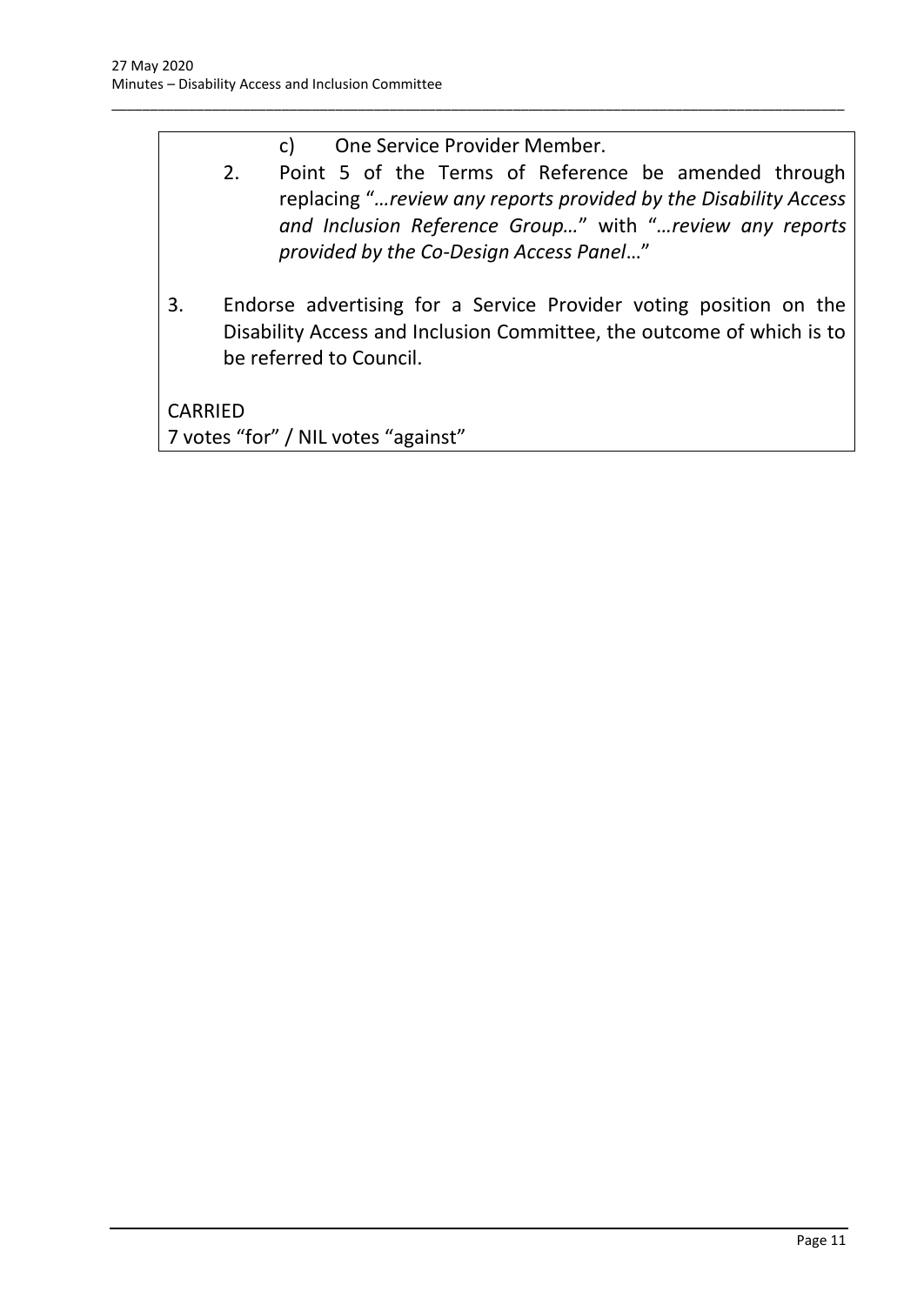| c) | One Service Provider Member. |
|----|------------------------------|
|----|------------------------------|

\_\_\_\_\_\_\_\_\_\_\_\_\_\_\_\_\_\_\_\_\_\_\_\_\_\_\_\_\_\_\_\_\_\_\_\_\_\_\_\_\_\_\_\_\_\_\_\_\_\_\_\_\_\_\_\_\_\_\_\_\_\_\_\_\_\_\_\_\_\_\_\_\_\_\_\_\_\_\_\_\_\_\_\_\_\_\_\_\_\_\_\_\_\_\_

- 2. Point 5 of the Terms of Reference be amended through replacing "*…review any reports provided by the Disability Access and Inclusion Reference Group…*" with "*…review any reports provided by the Co-Design Access Panel*…"
- 3. Endorse advertising for a Service Provider voting position on the Disability Access and Inclusion Committee, the outcome of which is to be referred to Council.

CARRIED

7 votes "for" / NIL votes "against"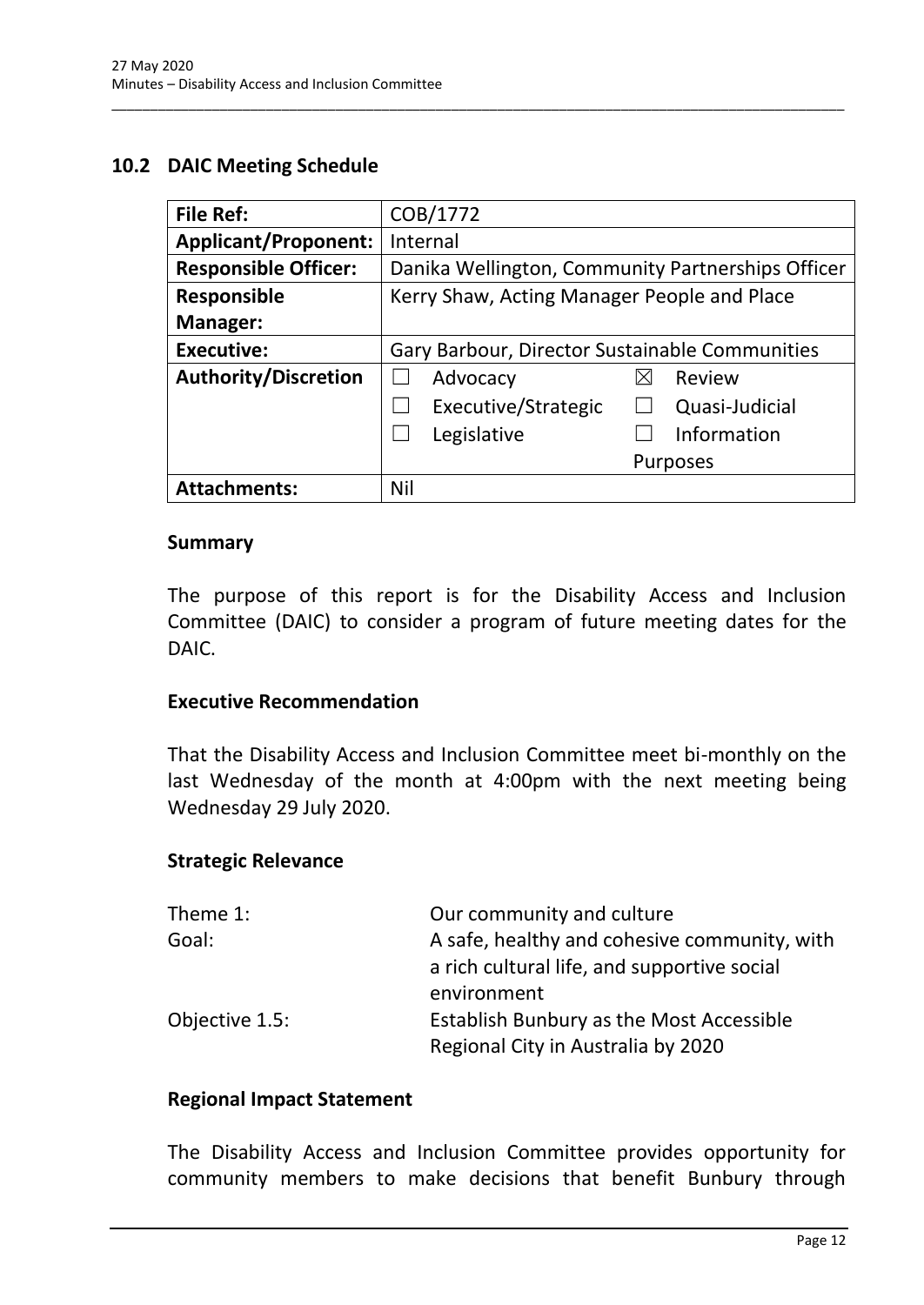#### <span id="page-14-0"></span>**10.2 DAIC Meeting Schedule**

| <b>File Ref:</b>            | COB/1772                                          |  |
|-----------------------------|---------------------------------------------------|--|
| <b>Applicant/Proponent:</b> | Internal                                          |  |
| <b>Responsible Officer:</b> | Danika Wellington, Community Partnerships Officer |  |
| <b>Responsible</b>          | Kerry Shaw, Acting Manager People and Place       |  |
| <b>Manager:</b>             |                                                   |  |
| <b>Executive:</b>           | Gary Barbour, Director Sustainable Communities    |  |
| <b>Authority/Discretion</b> | Advocacy<br>Review<br>⋉                           |  |
|                             | Executive/Strategic<br>Quasi-Judicial             |  |
|                             | Information<br>Legislative                        |  |
|                             | <b>Purposes</b>                                   |  |
| <b>Attachments:</b>         | Nil                                               |  |

\_\_\_\_\_\_\_\_\_\_\_\_\_\_\_\_\_\_\_\_\_\_\_\_\_\_\_\_\_\_\_\_\_\_\_\_\_\_\_\_\_\_\_\_\_\_\_\_\_\_\_\_\_\_\_\_\_\_\_\_\_\_\_\_\_\_\_\_\_\_\_\_\_\_\_\_\_\_\_\_\_\_\_\_\_\_\_\_\_\_\_\_\_\_\_

#### **Summary**

The purpose of this report is for the Disability Access and Inclusion Committee (DAIC) to consider a program of future meeting dates for the DAIC.

#### **Executive Recommendation**

That the Disability Access and Inclusion Committee meet bi-monthly on the last Wednesday of the month at 4:00pm with the next meeting being Wednesday 29 July 2020.

#### **Strategic Relevance**

| Theme 1:       | Our community and culture                       |
|----------------|-------------------------------------------------|
| Goal:          | A safe, healthy and cohesive community, with    |
|                | a rich cultural life, and supportive social     |
|                | environment                                     |
| Objective 1.5: | <b>Establish Bunbury as the Most Accessible</b> |
|                | Regional City in Australia by 2020              |

#### **Regional Impact Statement**

The Disability Access and Inclusion Committee provides opportunity for community members to make decisions that benefit Bunbury through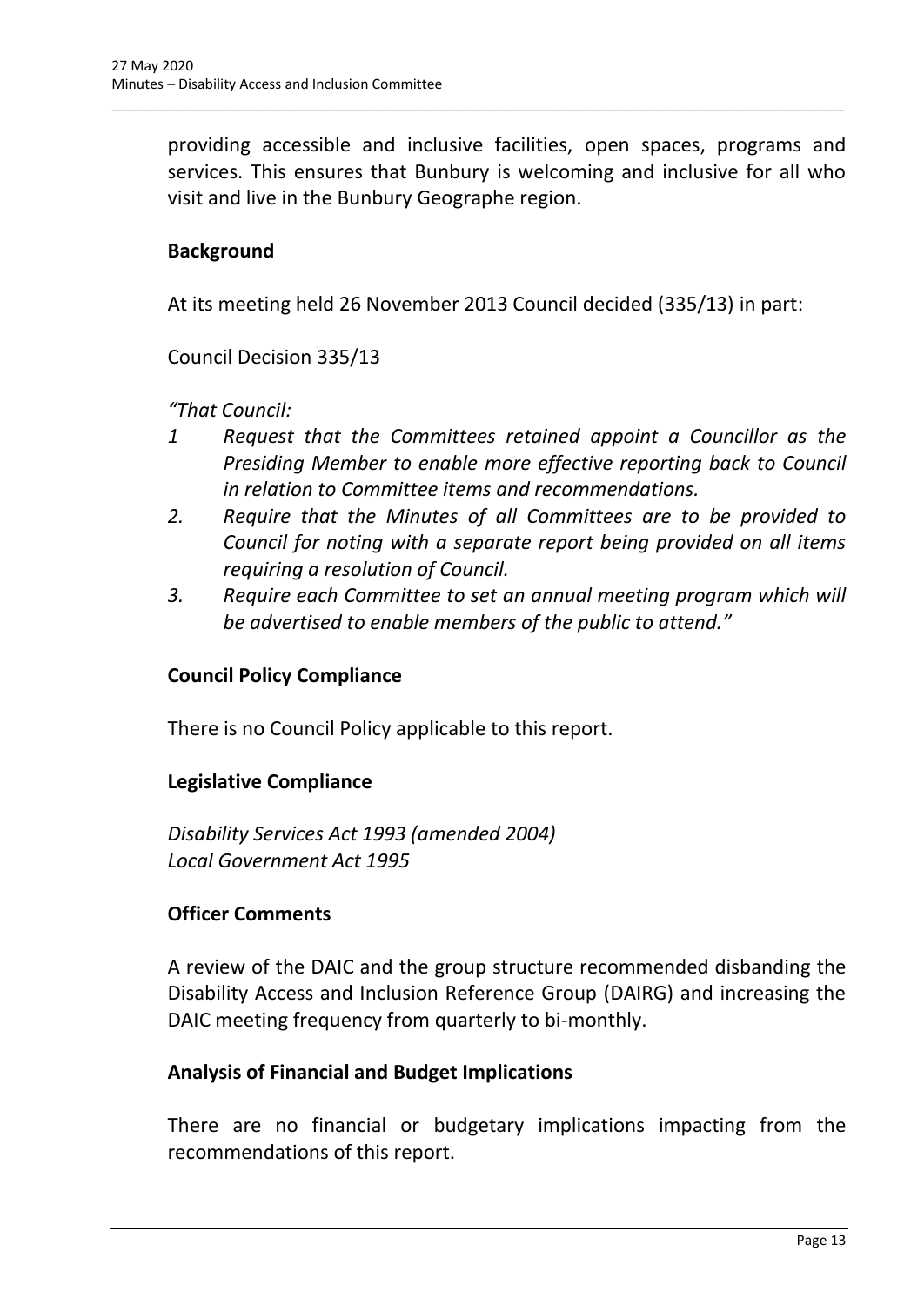providing accessible and inclusive facilities, open spaces, programs and services. This ensures that Bunbury is welcoming and inclusive for all who visit and live in the Bunbury Geographe region.

\_\_\_\_\_\_\_\_\_\_\_\_\_\_\_\_\_\_\_\_\_\_\_\_\_\_\_\_\_\_\_\_\_\_\_\_\_\_\_\_\_\_\_\_\_\_\_\_\_\_\_\_\_\_\_\_\_\_\_\_\_\_\_\_\_\_\_\_\_\_\_\_\_\_\_\_\_\_\_\_\_\_\_\_\_\_\_\_\_\_\_\_\_\_\_

### **Background**

At its meeting held 26 November 2013 Council decided (335/13) in part:

Council Decision 335/13

*"That Council:* 

- *1 Request that the Committees retained appoint a Councillor as the Presiding Member to enable more effective reporting back to Council in relation to Committee items and recommendations.*
- *2. Require that the Minutes of all Committees are to be provided to Council for noting with a separate report being provided on all items requiring a resolution of Council.*
- *3. Require each Committee to set an annual meeting program which will be advertised to enable members of the public to attend."*

#### **Council Policy Compliance**

There is no Council Policy applicable to this report.

#### **Legislative Compliance**

*Disability Services Act 1993 (amended 2004) Local Government Act 1995*

#### **Officer Comments**

A review of the DAIC and the group structure recommended disbanding the Disability Access and Inclusion Reference Group (DAIRG) and increasing the DAIC meeting frequency from quarterly to bi-monthly.

#### **Analysis of Financial and Budget Implications**

There are no financial or budgetary implications impacting from the recommendations of this report.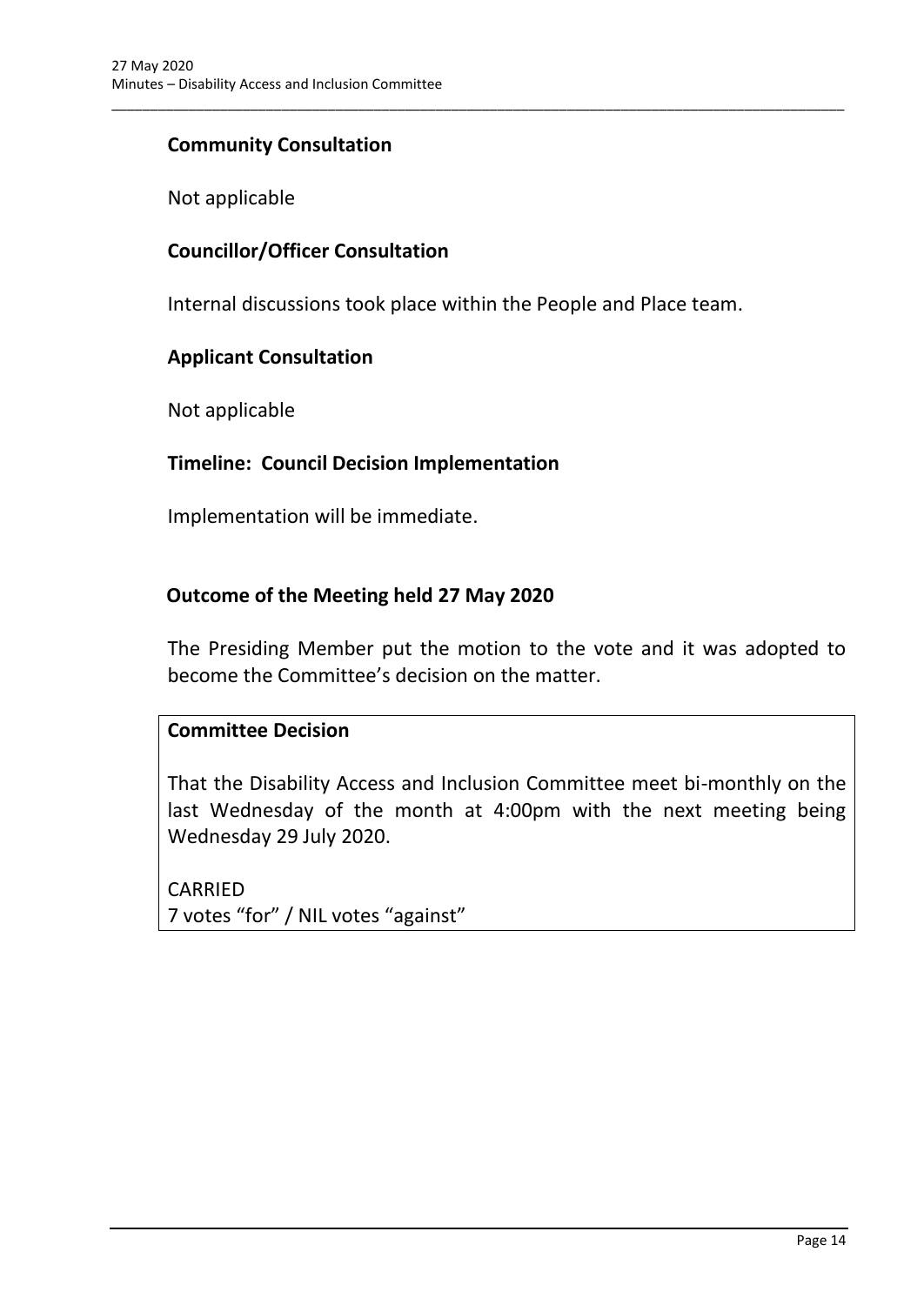### **Community Consultation**

Not applicable

### **Councillor/Officer Consultation**

Internal discussions took place within the People and Place team.

\_\_\_\_\_\_\_\_\_\_\_\_\_\_\_\_\_\_\_\_\_\_\_\_\_\_\_\_\_\_\_\_\_\_\_\_\_\_\_\_\_\_\_\_\_\_\_\_\_\_\_\_\_\_\_\_\_\_\_\_\_\_\_\_\_\_\_\_\_\_\_\_\_\_\_\_\_\_\_\_\_\_\_\_\_\_\_\_\_\_\_\_\_\_\_

#### **Applicant Consultation**

Not applicable

#### **Timeline: Council Decision Implementation**

Implementation will be immediate.

#### **Outcome of the Meeting held 27 May 2020**

The Presiding Member put the motion to the vote and it was adopted to become the Committee's decision on the matter.

#### **Committee Decision**

That the Disability Access and Inclusion Committee meet bi-monthly on the last Wednesday of the month at 4:00pm with the next meeting being Wednesday 29 July 2020.

CARRIED 7 votes "for" / NIL votes "against"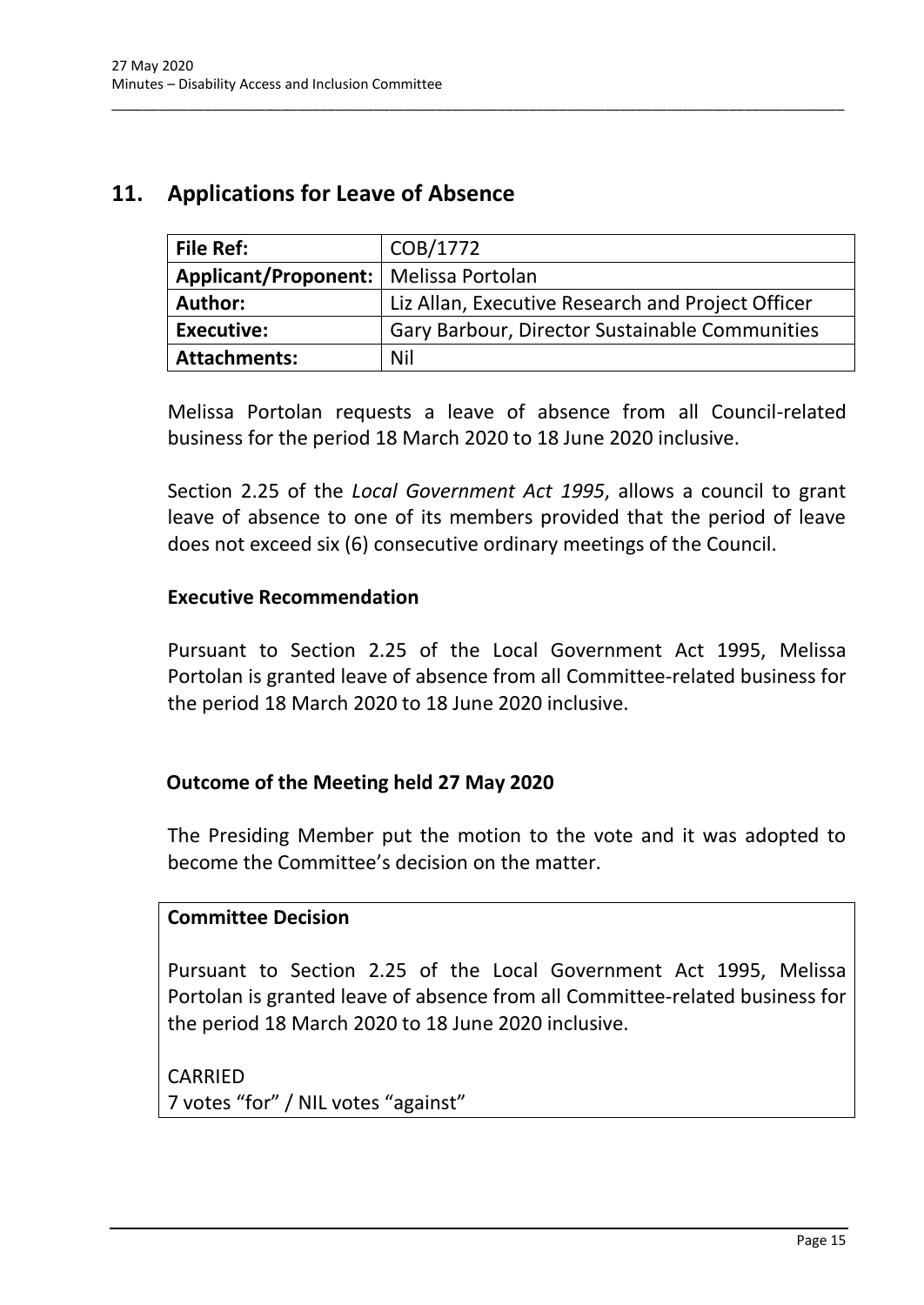# <span id="page-17-0"></span>**11. Applications for Leave of Absence**

| <b>File Ref:</b>                        | COB/1772                                          |
|-----------------------------------------|---------------------------------------------------|
| Applicant/Proponent:   Melissa Portolan |                                                   |
| <b>Author:</b>                          | Liz Allan, Executive Research and Project Officer |
| <b>Executive:</b>                       | Gary Barbour, Director Sustainable Communities    |
| <b>Attachments:</b>                     | Nil                                               |

\_\_\_\_\_\_\_\_\_\_\_\_\_\_\_\_\_\_\_\_\_\_\_\_\_\_\_\_\_\_\_\_\_\_\_\_\_\_\_\_\_\_\_\_\_\_\_\_\_\_\_\_\_\_\_\_\_\_\_\_\_\_\_\_\_\_\_\_\_\_\_\_\_\_\_\_\_\_\_\_\_\_\_\_\_\_\_\_\_\_\_\_\_\_\_

Melissa Portolan requests a leave of absence from all Council-related business for the period 18 March 2020 to 18 June 2020 inclusive.

Section 2.25 of the *Local Government Act 1995*, allows a council to grant leave of absence to one of its members provided that the period of leave does not exceed six (6) consecutive ordinary meetings of the Council.

#### **Executive Recommendation**

Pursuant to Section 2.25 of the Local Government Act 1995, Melissa Portolan is granted leave of absence from all Committee-related business for the period 18 March 2020 to 18 June 2020 inclusive.

#### **Outcome of the Meeting held 27 May 2020**

The Presiding Member put the motion to the vote and it was adopted to become the Committee's decision on the matter.

#### **Committee Decision**

Pursuant to Section 2.25 of the Local Government Act 1995, Melissa Portolan is granted leave of absence from all Committee-related business for the period 18 March 2020 to 18 June 2020 inclusive.

**CARRIFD** 7 votes "for" / NIL votes "against"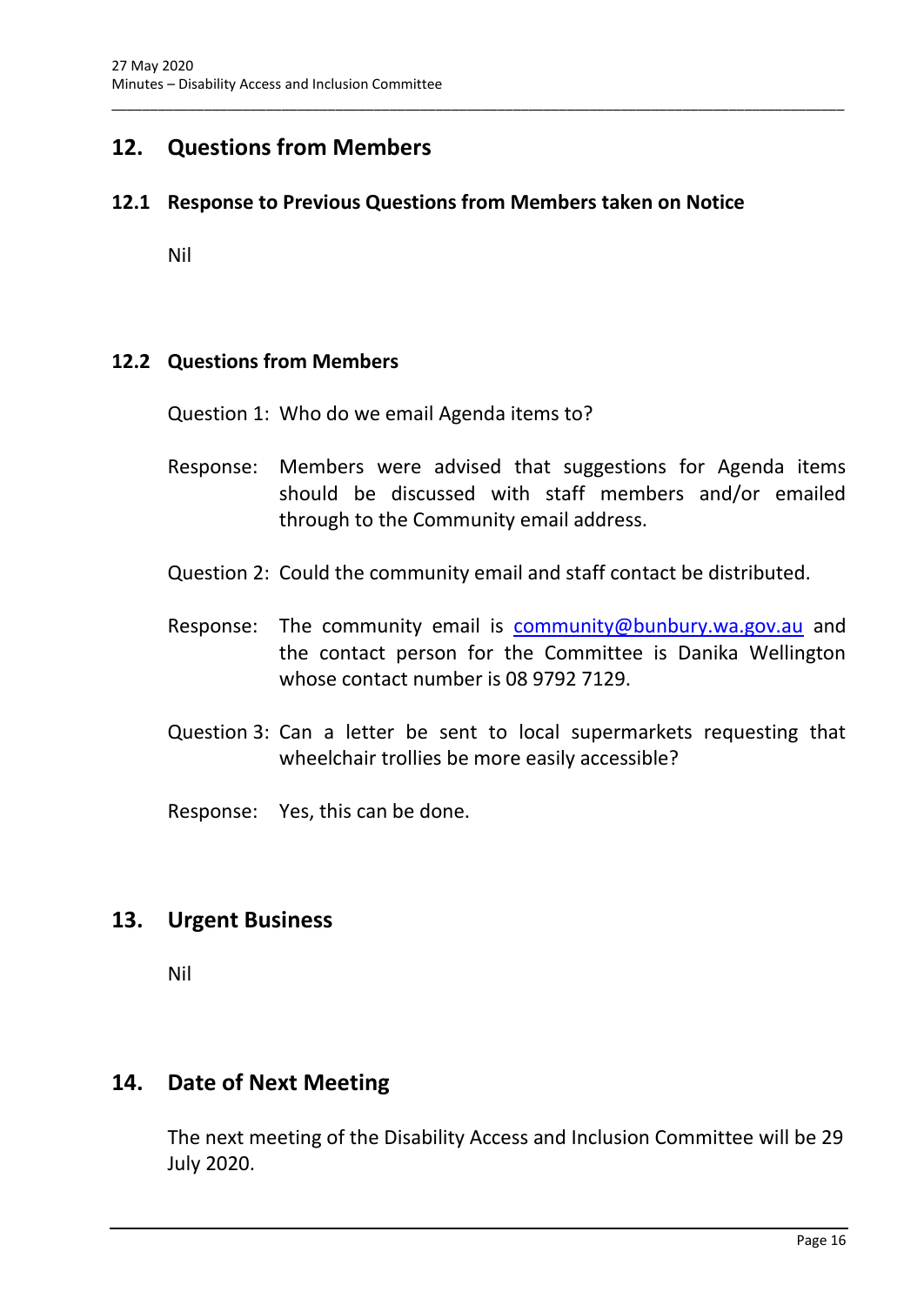# <span id="page-18-0"></span>**12. Questions from Members**

#### <span id="page-18-1"></span>**12.1 Response to Previous Questions from Members taken on Notice**

\_\_\_\_\_\_\_\_\_\_\_\_\_\_\_\_\_\_\_\_\_\_\_\_\_\_\_\_\_\_\_\_\_\_\_\_\_\_\_\_\_\_\_\_\_\_\_\_\_\_\_\_\_\_\_\_\_\_\_\_\_\_\_\_\_\_\_\_\_\_\_\_\_\_\_\_\_\_\_\_\_\_\_\_\_\_\_\_\_\_\_\_\_\_\_

Nil

#### <span id="page-18-2"></span>**12.2 Questions from Members**

Question 1: Who do we email Agenda items to?

- Response: Members were advised that suggestions for Agenda items should be discussed with staff members and/or emailed through to the Community email address.
- Question 2: Could the community email and staff contact be distributed.
- Response: The community email is [community@bunbury.wa.gov.au](mailto:community@bunbury.wa.gov.au) and the contact person for the Committee is Danika Wellington whose contact number is 08 9792 7129.
- Question 3: Can a letter be sent to local supermarkets requesting that wheelchair trollies be more easily accessible?

Response: Yes, this can be done.

## <span id="page-18-3"></span>**13. Urgent Business**

Nil

### <span id="page-18-4"></span>**14. Date of Next Meeting**

The next meeting of the Disability Access and Inclusion Committee will be 29 July 2020.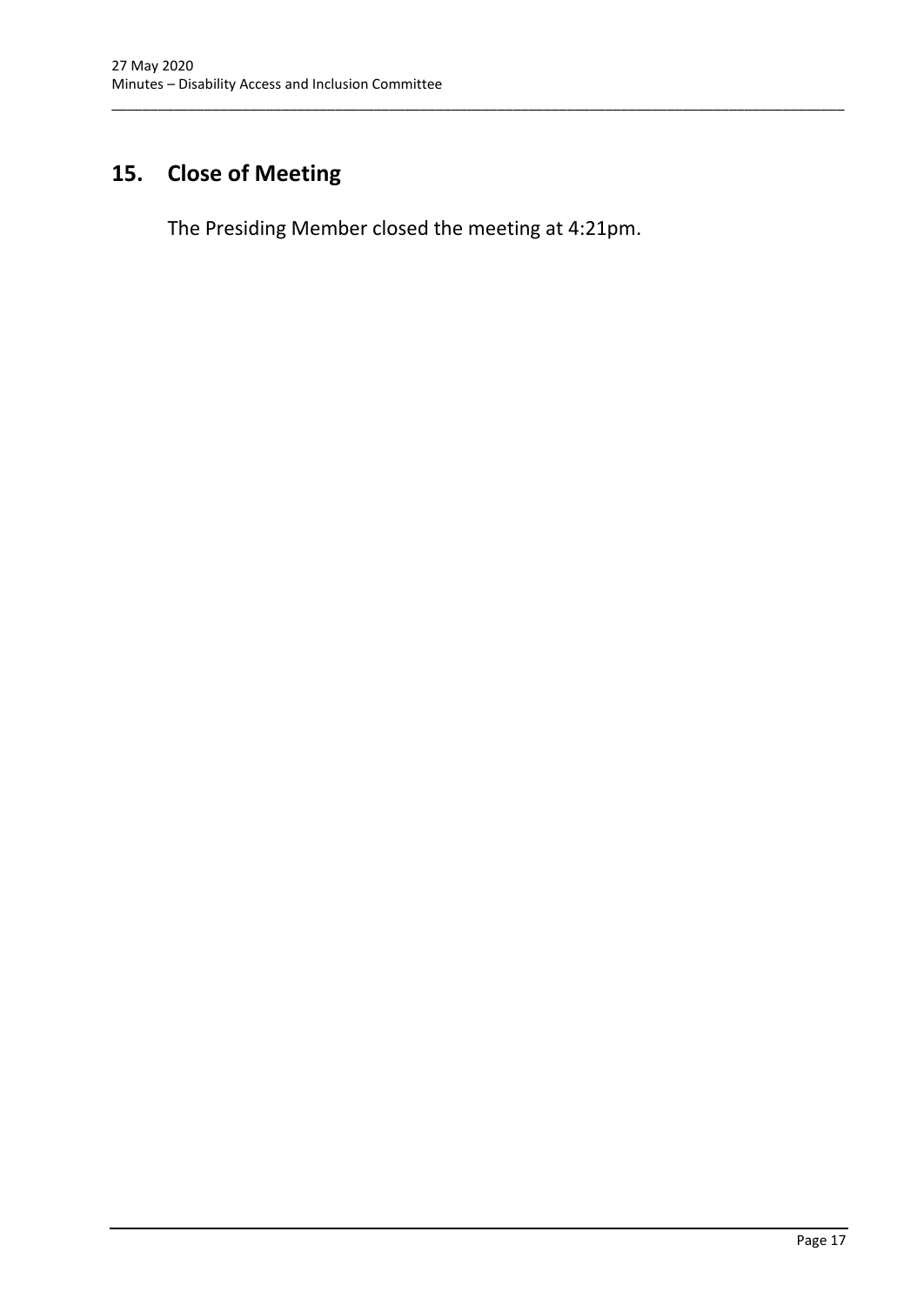# <span id="page-19-0"></span>**15. Close of Meeting**

The Presiding Member closed the meeting at 4:21pm.

\_\_\_\_\_\_\_\_\_\_\_\_\_\_\_\_\_\_\_\_\_\_\_\_\_\_\_\_\_\_\_\_\_\_\_\_\_\_\_\_\_\_\_\_\_\_\_\_\_\_\_\_\_\_\_\_\_\_\_\_\_\_\_\_\_\_\_\_\_\_\_\_\_\_\_\_\_\_\_\_\_\_\_\_\_\_\_\_\_\_\_\_\_\_\_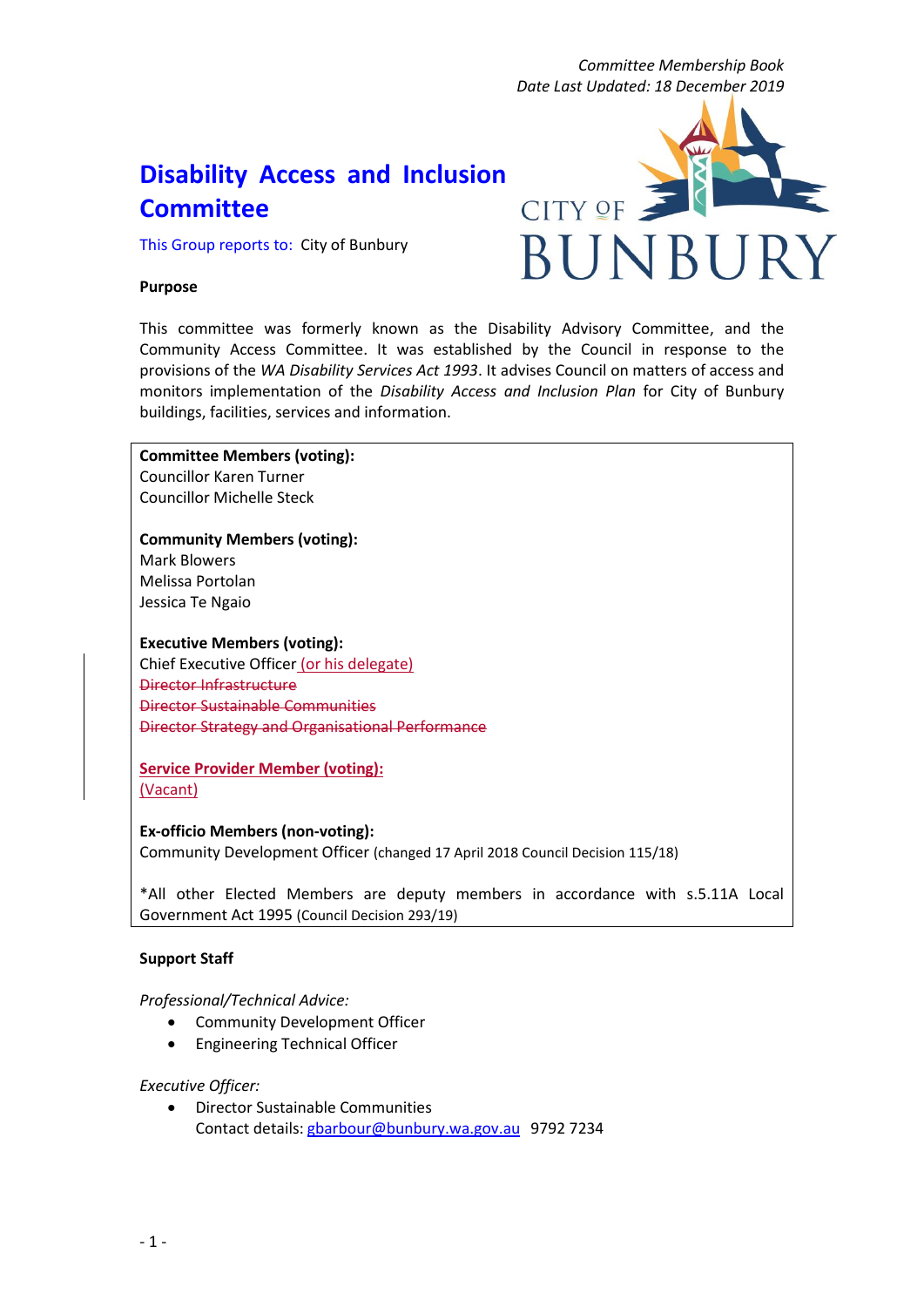*Committee Membership Book Date Last Updated: 18 December 2019*

**BUNBUE** 

**CITY OF** 

# **Disability Access and Inclusion Committee**

This Group reports to: City of Bunbury

#### **Purpose**

This committee was formerly known as the Disability Advisory Committee, and the Community Access Committee. It was established by the Council in response to the provisions of the *WA Disability Services Act 1993*. It advises Council on matters of access and monitors implementation of the *Disability Access and Inclusion Plan* for City of Bunbury buildings, facilities, services and information.

**Committee Members (voting):** Councillor Karen Turner Councillor Michelle Steck

**Community Members (voting):** Mark Blowers Melissa Portolan Jessica Te Ngaio

**Executive Members (voting):**

Chief Executive Officer (or his delegate) Director Infrastructure Director Sustainable Communities Director Strategy and Organisational Performance

**Service Provider Member (voting):** (Vacant)

#### **Ex-officio Members (non-voting):**

Community Development Officer (changed 17 April 2018 Council Decision 115/18)

\*All other Elected Members are deputy members in accordance with s.5.11A Local Government Act 1995 (Council Decision 293/19)

#### **Support Staff**

#### *Professional/Technical Advice:*

- Community Development Officer
- Engineering Technical Officer

#### *Executive Officer:*

• Director Sustainable Communities Contact details: [gbarbour@bunbury.wa.gov.au](mailto:gbarbour@bunbury.wa.gov.au) 9792 7234